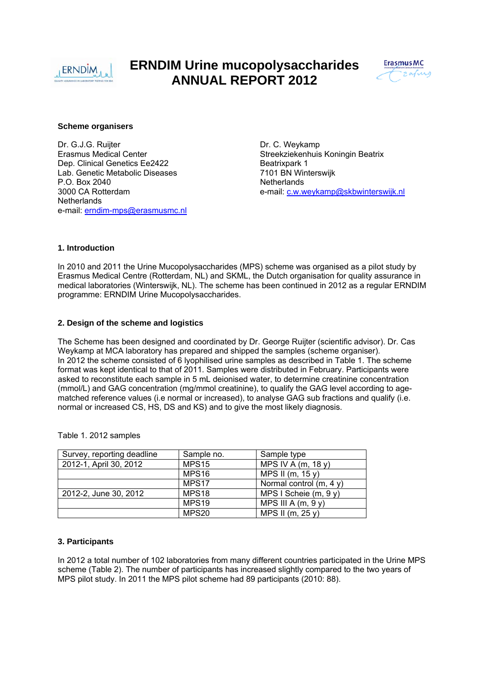

# **ERNDIM Urine mucopolysaccharides ANNUAL REPORT 2012**



#### **Scheme organisers**

Dr. G.J.G. Ruijter **Dr. G. Weykamp** Erasmus Medical Center Streekziekenhuis Koningin Beatrix Dep. Clinical Genetics Ee2422 Beatrixpark 1 Lab. Genetic Metabolic Diseases 7101 BN Winterswijk P.O. Box 2040<br>3000 CA Rotterdam de annual and the control of the Netherlands<br>e-mail: c.w.w **Netherlands** e-mail: erndim-mps@erasmusmc.nl

e-mail: c.w.weykamp@skbwinterswijk.nl

# **1. Introduction**

In 2010 and 2011 the Urine Mucopolysaccharides (MPS) scheme was organised as a pilot study by Erasmus Medical Centre (Rotterdam, NL) and SKML, the Dutch organisation for quality assurance in medical laboratories (Winterswijk, NL). The scheme has been continued in 2012 as a regular ERNDIM programme: ERNDIM Urine Mucopolysaccharides.

## **2. Design of the scheme and logistics**

The Scheme has been designed and coordinated by Dr. George Ruijter (scientific advisor). Dr. Cas Weykamp at MCA laboratory has prepared and shipped the samples (scheme organiser). In 2012 the scheme consisted of 6 lyophilised urine samples as described in Table 1. The scheme format was kept identical to that of 2011. Samples were distributed in February. Participants were asked to reconstitute each sample in 5 mL deionised water, to determine creatinine concentration (mmol/L) and GAG concentration (mg/mmol creatinine), to qualify the GAG level according to agematched reference values (i.e normal or increased), to analyse GAG sub fractions and qualify (i.e. normal or increased CS, HS, DS and KS) and to give the most likely diagnosis.

| Survey, reporting deadline | Sample no.        | Sample type              |
|----------------------------|-------------------|--------------------------|
| 2012-1, April 30, 2012     | MPS <sub>15</sub> | MPS IV A $(m, 18y)$      |
|                            | MPS <sub>16</sub> | MPS II (m, $15y$ )       |
|                            | MPS17             | Normal control $(m, 4y)$ |
| 2012-2, June 30, 2012      | MPS <sub>18</sub> | MPS I Scheie $(m, 9y)$   |
|                            | MPS <sub>19</sub> | MPS III A $(m, 9y)$      |
|                            | MPS20             | MPS II (m, 25 y)         |

Table 1. 2012 samples

#### **3. Participants**

In 2012 a total number of 102 laboratories from many different countries participated in the Urine MPS scheme (Table 2). The number of participants has increased slightly compared to the two years of MPS pilot study. In 2011 the MPS pilot scheme had 89 participants (2010: 88).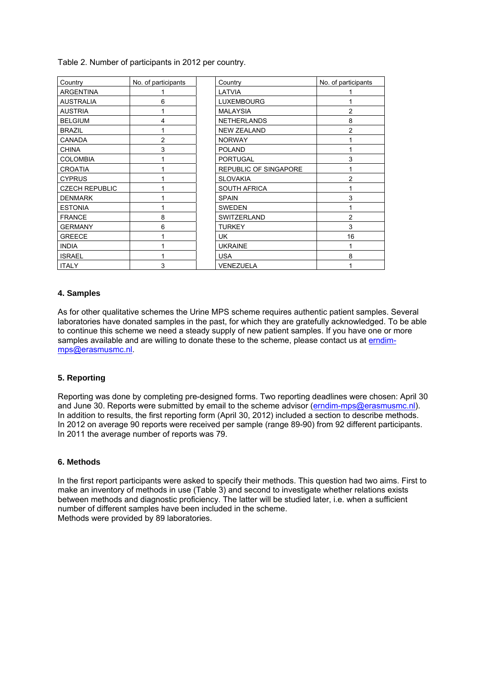Table 2. Number of participants in 2012 per country.

| Country               | No. of participants | Country                      | No. of participants |
|-----------------------|---------------------|------------------------------|---------------------|
| <b>ARGENTINA</b>      |                     | LATVIA                       |                     |
| <b>AUSTRALIA</b>      | 6                   | <b>LUXEMBOURG</b>            |                     |
| <b>AUSTRIA</b>        |                     | <b>MALAYSIA</b>              | 2                   |
| <b>BELGIUM</b>        | 4                   | <b>NETHERLANDS</b>           | 8                   |
| <b>BRAZIL</b>         | 1                   | <b>NEW ZEALAND</b>           | 2                   |
| <b>CANADA</b>         | $\overline{2}$      | <b>NORWAY</b>                |                     |
| <b>CHINA</b>          | 3                   | <b>POLAND</b>                |                     |
| <b>COLOMBIA</b>       |                     | <b>PORTUGAL</b>              | 3                   |
| <b>CROATIA</b>        |                     | <b>REPUBLIC OF SINGAPORE</b> |                     |
| <b>CYPRUS</b>         |                     | <b>SLOVAKIA</b>              | 2                   |
| <b>CZECH REPUBLIC</b> |                     | <b>SOUTH AFRICA</b>          |                     |
| <b>DENMARK</b>        |                     | <b>SPAIN</b>                 | 3                   |
| <b>ESTONIA</b>        |                     | <b>SWEDEN</b>                |                     |
| <b>FRANCE</b>         | 8                   | <b>SWITZERLAND</b>           | 2                   |
| <b>GERMANY</b>        | 6                   | <b>TURKEY</b>                | 3                   |
| <b>GREECE</b>         |                     | UK.                          | 16                  |
| <b>INDIA</b>          |                     | <b>UKRAINE</b>               |                     |
| <b>ISRAEL</b>         |                     | <b>USA</b>                   | 8                   |
| <b>ITALY</b>          | 3                   | <b>VENEZUELA</b>             |                     |

## **4. Samples**

As for other qualitative schemes the Urine MPS scheme requires authentic patient samples. Several laboratories have donated samples in the past, for which they are gratefully acknowledged. To be able to continue this scheme we need a steady supply of new patient samples. If you have one or more samples available and are willing to donate these to the scheme, please contact us at erndimmps@erasmusmc.nl.

#### **5. Reporting**

Reporting was done by completing pre-designed forms. Two reporting deadlines were chosen: April 30 and June 30. Reports were submitted by email to the scheme advisor (erndim-mps@erasmusmc.nl). In addition to results, the first reporting form (April 30, 2012) included a section to describe methods. In 2012 on average 90 reports were received per sample (range 89-90) from 92 different participants. In 2011 the average number of reports was 79.

#### **6. Methods**

In the first report participants were asked to specify their methods. This question had two aims. First to make an inventory of methods in use (Table 3) and second to investigate whether relations exists between methods and diagnostic proficiency. The latter will be studied later, i.e. when a sufficient number of different samples have been included in the scheme. Methods were provided by 89 laboratories.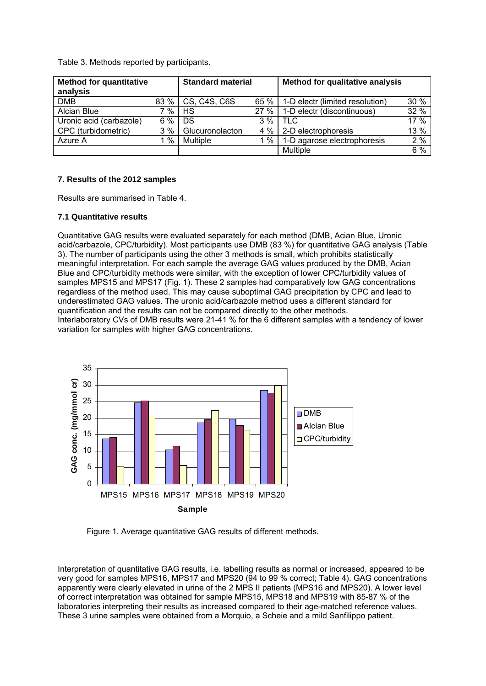Table 3. Methods reported by participants.

| <b>Method for quantitative</b><br>analysis |      | <b>Standard material</b> |       | <b>Method for qualitative analysis</b> |      |
|--------------------------------------------|------|--------------------------|-------|----------------------------------------|------|
| <b>DMB</b>                                 | 83 % | CS, C4S, C6S             | 65 %  | 1-D electr (limited resolution)        | 30 % |
| Alcian Blue                                | %    | HS                       | 27%   | 1-D electr (discontinuous)             | 32 % |
| Uronic acid (carbazole)                    | 6 %  | DS                       | 3%    | <b>TLC</b>                             | 17 % |
| CPC (turbidometric)                        | 3%   | Glucuronolacton          | $4\%$ | 2-D electrophoresis                    | 13 % |
| Azure A                                    | $\%$ | <b>Multiple</b>          | %     | 1-D agarose electrophoresis            | 2%   |
|                                            |      |                          |       | Multiple                               | 6%   |

## **7. Results of the 2012 samples**

Results are summarised in Table 4.

# **7.1 Quantitative results**

Quantitative GAG results were evaluated separately for each method (DMB, Acian Blue, Uronic acid/carbazole, CPC/turbidity). Most participants use DMB (83 %) for quantitative GAG analysis (Table 3). The number of participants using the other 3 methods is small, which prohibits statistically meaningful interpretation. For each sample the average GAG values produced by the DMB, Acian Blue and CPC/turbidity methods were similar, with the exception of lower CPC/turbidity values of samples MPS15 and MPS17 (Fig. 1). These 2 samples had comparatively low GAG concentrations regardless of the method used. This may cause suboptimal GAG precipitation by CPC and lead to underestimated GAG values. The uronic acid/carbazole method uses a different standard for quantification and the results can not be compared directly to the other methods. Interlaboratory CVs of DMB results were 21-41 % for the 6 different samples with a tendency of lower variation for samples with higher GAG concentrations.



Figure 1. Average quantitative GAG results of different methods.

Interpretation of quantitative GAG results, i.e. labelling results as normal or increased, appeared to be very good for samples MPS16, MPS17 and MPS20 (94 to 99 % correct; Table 4). GAG concentrations apparently were clearly elevated in urine of the 2 MPS II patients (MPS16 and MPS20). A lower level of correct interpretation was obtained for sample MPS15, MPS18 and MPS19 with 85-87 % of the laboratories interpreting their results as increased compared to their age-matched reference values. These 3 urine samples were obtained from a Morquio, a Scheie and a mild Sanfilippo patient.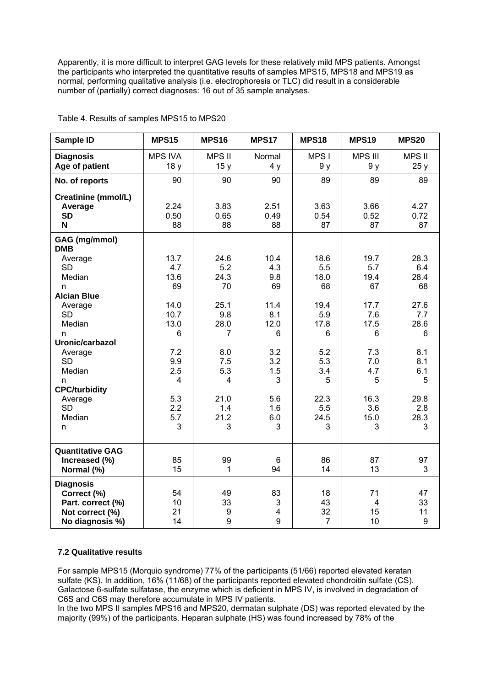Apparently, it is more difficult to interpret GAG levels for these relatively mild MPS patients. Amongst the participants who interpreted the quantitative results of samples MPS15, MPS18 and MPS19 as normal, performing qualitative analysis (i.e. electrophoresis or TLC) did result in a considerable number of (partially) correct diagnoses: 16 out of 35 sample analyses.

| Sample ID                                                                                  | <b>MPS15</b>              | <b>MPS16</b>              | <b>MPS17</b>             | <b>MPS18</b>                     | <b>MPS19</b>              | <b>MPS20</b>              |
|--------------------------------------------------------------------------------------------|---------------------------|---------------------------|--------------------------|----------------------------------|---------------------------|---------------------------|
| <b>Diagnosis</b><br>Age of patient                                                         | <b>MPS IVA</b><br>18y     | MPS II<br>15y             | Normal<br>4y             | MPS I<br>9 y                     | <b>MPS III</b><br>9 y     | <b>MPS II</b><br>25y      |
| No. of reports                                                                             | 90                        | 90                        | 90                       | 89                               | 89                        | 89                        |
| Creatinine (mmol/L)<br>Average<br><b>SD</b><br>N                                           | 2.24<br>0.50<br>88        | 3.83<br>0.65<br>88        | 2.51<br>0.49<br>88       | 3.63<br>0.54<br>87               | 3.66<br>0.52<br>87        | 4.27<br>0.72<br>87        |
| <b>GAG</b> (mg/mmol)<br><b>DMB</b>                                                         |                           |                           |                          |                                  |                           |                           |
| Average<br><b>SD</b><br>Median<br>n                                                        | 13.7<br>4.7<br>13.6<br>69 | 24.6<br>5.2<br>24.3<br>70 | 10.4<br>4.3<br>9.8<br>69 | 18.6<br>5.5<br>18.0<br>68        | 19.7<br>5.7<br>19.4<br>67 | 28.3<br>6.4<br>28.4<br>68 |
| <b>Alcian Blue</b>                                                                         | 14.0                      | 25.1                      | 11.4                     | 19.4                             | 17.7                      | 27.6                      |
| Average<br><b>SD</b><br>Median                                                             | 10.7<br>13.0              | 9.8<br>28.0               | 8.1<br>12.0              | 5.9<br>17.8                      | 7.6<br>17.5               | 7.7<br>28.6               |
| n<br>Uronic/carbazol                                                                       | 6                         | 7                         | 6                        | 6                                | 6                         | 6                         |
| Average<br><b>SD</b><br>Median<br>n                                                        | 7.2<br>9.9<br>2.5<br>4    | 8.0<br>7.5<br>5.3<br>4    | 3.2<br>3.2<br>1.5<br>3   | 5.2<br>5.3<br>3.4<br>5           | 7.3<br>7.0<br>4.7<br>5    | 8.1<br>8.1<br>6.1<br>5    |
| <b>CPC/turbidity</b>                                                                       |                           |                           |                          |                                  |                           |                           |
| Average<br><b>SD</b><br>Median<br>n                                                        | 5.3<br>2.2<br>5.7<br>3    | 21.0<br>1.4<br>21.2<br>3  | 5.6<br>1.6<br>6.0<br>3   | 22.3<br>5.5<br>24.5<br>3         | 16.3<br>3.6<br>15.0<br>3  | 29.8<br>2.8<br>28.3<br>3  |
| <b>Quantitative GAG</b><br>Increased (%)<br>Normal (%)                                     | 85<br>15                  | 99<br>1                   | 6<br>94                  | 86<br>14                         | 87<br>13                  | 97<br>3                   |
| <b>Diagnosis</b><br>Correct (%)<br>Part. correct (%)<br>Not correct (%)<br>No diagnosis %) | 54<br>10<br>21<br>14      | 49<br>33<br>9<br>9        | 83<br>3<br>4<br>9        | 18<br>43<br>32<br>$\overline{7}$ | 71<br>4<br>15<br>10       | 47<br>33<br>11<br>9       |

Table 4. Results of samples MPS15 to MPS20

## **7.2 Qualitative results**

For sample MPS15 (Morquio syndrome) 77% of the participants (51/66) reported elevated keratan sulfate (KS). In addition, 16% (11/68) of the participants reported elevated chondroitin sulfate (CS). Galactose 6-sulfate sulfatase, the enzyme which is deficient in MPS IV, is involved in degradation of C6S and C6S may therefore accumulate in MPS IV patients.

In the two MPS II samples MPS16 and MPS20, dermatan sulphate (DS) was reported elevated by the majority (99%) of the participants. Heparan sulphate (HS) was found increased by 78% of the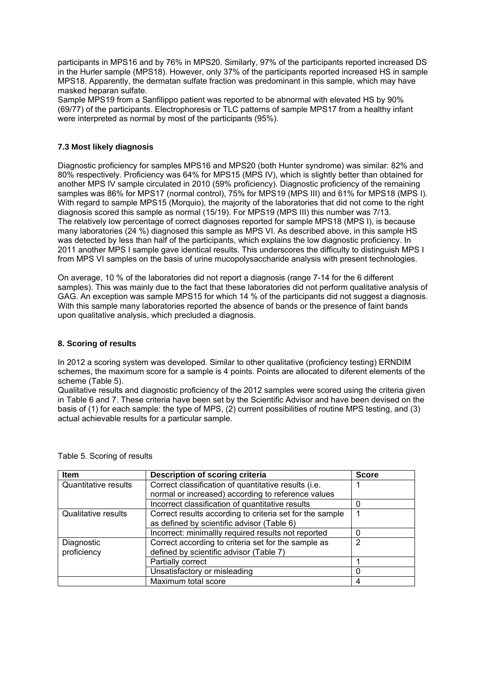participants in MPS16 and by 76% in MPS20. Similarly, 97% of the participants reported increased DS in the Hurler sample (MPS18). However, only 37% of the participants reported increased HS in sample MPS18. Apparently, the dermatan sulfate fraction was predominant in this sample, which may have masked heparan sulfate.

Sample MPS19 from a Sanfilippo patient was reported to be abnormal with elevated HS by 90% (69/77) of the participants. Electrophoresis or TLC patterns of sample MPS17 from a healthy infant were interpreted as normal by most of the participants (95%).

# **7.3 Most likely diagnosis**

Diagnostic proficiency for samples MPS16 and MPS20 (both Hunter syndrome) was similar: 82% and 80% respectively. Proficiency was 64% for MPS15 (MPS IV), which is slightly better than obtained for another MPS IV sample circulated in 2010 (59% proficiency). Diagnostic proficiency of the remaining samples was 86% for MPS17 (normal control), 75% for MPS19 (MPS III) and 61% for MPS18 (MPS I). With regard to sample MPS15 (Morquio), the majority of the laboratories that did not come to the right diagnosis scored this sample as normal (15/19). For MPS19 (MPS III) this number was 7/13. The relatively low percentage of correct diagnoses reported for sample MPS18 (MPS I), is because many laboratories (24 %) diagnosed this sample as MPS VI. As described above, in this sample HS was detected by less than half of the participants, which explains the low diagnostic proficiency. In 2011 another MPS I sample gave identical results. This underscores the difficulty to distinguish MPS I from MPS VI samples on the basis of urine mucopolysaccharide analysis with present technologies.

On average, 10 % of the laboratories did not report a diagnosis (range 7-14 for the 6 different samples). This was mainly due to the fact that these laboratories did not perform qualitative analysis of GAG. An exception was sample MPS15 for which 14 % of the participants did not suggest a diagnosis. With this sample many laboratories reported the absence of bands or the presence of faint bands upon qualitative analysis, which precluded a diagnosis.

# **8. Scoring of results**

In 2012 a scoring system was developed. Similar to other qualitative (proficiency testing) ERNDIM schemes, the maximum score for a sample is 4 points. Points are allocated to diferent elements of the scheme (Table 5).

Qualitative results and diagnostic proficiency of the 2012 samples were scored using the criteria given in Table 6 and 7. These criteria have been set by the Scientific Advisor and have been devised on the basis of (1) for each sample: the type of MPS, (2) current possibilities of routine MPS testing, and (3) actual achievable results for a particular sample.

| Item                                                                                | Description of scoring criteria                          | <b>Score</b> |  |  |
|-------------------------------------------------------------------------------------|----------------------------------------------------------|--------------|--|--|
| Correct classification of quantitative results (i.e.<br><b>Quantitative results</b> |                                                          |              |  |  |
|                                                                                     | normal or increased) according to reference values       |              |  |  |
|                                                                                     | Incorrect classification of quantitative results         |              |  |  |
| <b>Qualitative results</b>                                                          | Correct results according to criteria set for the sample |              |  |  |
|                                                                                     | as defined by scientific advisor (Table 6)               |              |  |  |
|                                                                                     | Incorrect: minimallly required results not reported      |              |  |  |
| Diagnostic                                                                          | Correct according to criteria set for the sample as      | っ            |  |  |
| proficiency                                                                         | defined by scientific advisor (Table 7)                  |              |  |  |
|                                                                                     | Partially correct                                        |              |  |  |
|                                                                                     | Unsatisfactory or misleading                             |              |  |  |
|                                                                                     | Maximum total score                                      | 4            |  |  |

Table 5. Scoring of results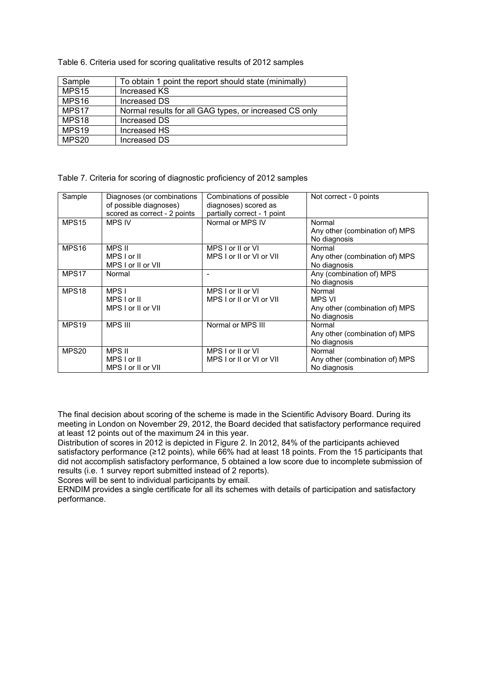Table 6. Criteria used for scoring qualitative results of 2012 samples

| Sample            | To obtain 1 point the report should state (minimally)  |
|-------------------|--------------------------------------------------------|
| MPS15             | Increased KS                                           |
| MPS <sub>16</sub> | Increased DS                                           |
| MPS17             | Normal results for all GAG types, or increased CS only |
| MPS <sub>18</sub> | Increased DS                                           |
| MPS19             | Increased HS                                           |
| MPS20             | Increased DS                                           |

Table 7. Criteria for scoring of diagnostic proficiency of 2012 samples

| Sample            | Diagnoses (or combinations<br>of possible diagnoses)<br>scored as correct - 2 points | Combinations of possible<br>diagnoses) scored as<br>partially correct - 1 point | Not correct - 0 points                                             |
|-------------------|--------------------------------------------------------------------------------------|---------------------------------------------------------------------------------|--------------------------------------------------------------------|
| MPS <sub>15</sub> | <b>MPS IV</b>                                                                        | Normal or MPS IV                                                                | Normal<br>Any other (combination of) MPS<br>No diagnosis           |
| MPS <sub>16</sub> | MPS II<br>MPS I or II<br>MPS I or II or VII                                          | MPS I or II or VI<br>MPS I or II or VI or VII                                   | Normal<br>Any other (combination of) MPS<br>No diagnosis           |
| MPS17             | Normal                                                                               |                                                                                 | Any (combination of) MPS<br>No diagnosis                           |
| MPS <sub>18</sub> | MPS I<br>MPS I or II<br>MPS I or II or VII                                           | MPS I or II or VI<br>MPS I or II or VI or VII                                   | Normal<br>MPS VI<br>Any other (combination of) MPS<br>No diagnosis |
| MPS <sub>19</sub> | <b>MPS III</b>                                                                       | Normal or MPS III                                                               | Normal<br>Any other (combination of) MPS<br>No diagnosis           |
| MPS20             | MPS II<br>MPS I or II<br>MPS I or II or VII                                          | MPS I or II or VI<br>MPS I or II or VI or VII                                   | Normal<br>Any other (combination of) MPS<br>No diagnosis           |

The final decision about scoring of the scheme is made in the Scientific Advisory Board. During its meeting in London on November 29, 2012, the Board decided that satisfactory performance required at least 12 points out of the maximum 24 in this year.

Distribution of scores in 2012 is depicted in Figure 2. In 2012, 84% of the participants achieved satisfactory performance (≥12 points), while 66% had at least 18 points. From the 15 participants that did not accomplish satisfactory performance, 5 obtained a low score due to incomplete submission of results (i.e. 1 survey report submitted instead of 2 reports).

Scores will be sent to individual participants by email.

ERNDIM provides a single certificate for all its schemes with details of participation and satisfactory performance.